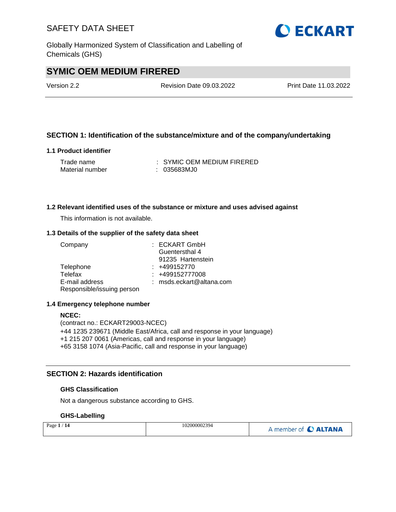Globally Harmonized System of Classification and Labelling of Chemicals (GHS)

## **SYMIC OEM MEDIUM FIRERED**

Version 2.2 Revision Date 09.03.2022 Print Date 11.03.2022

#### **SECTION 1: Identification of the substance/mixture and of the company/undertaking**

#### **1.1 Product identifier**

| Trade name      | : SYMIC OEM MEDIUM FIRERED |
|-----------------|----------------------------|
| Material number | : 035683MJ0                |

#### **1.2 Relevant identified uses of the substance or mixture and uses advised against**

This information is not available.

#### **1.3 Details of the supplier of the safety data sheet**

| Company                    | : ECKART GmbH            |
|----------------------------|--------------------------|
|                            | Guentersthal 4           |
|                            | 91235 Hartenstein        |
| Telephone                  | $: +499152770$           |
| Telefax                    | : +499152777008          |
| E-mail address             | : msds.eckart@altana.com |
| Responsible/issuing person |                          |

#### **1.4 Emergency telephone number**

#### **NCEC:**

(contract no.: ECKART29003-NCEC) +44 1235 239671 (Middle East/Africa, call and response in your language) +1 215 207 0061 (Americas, call and response in your language) +65 3158 1074 (Asia-Pacific, call and response in your language)

#### **SECTION 2: Hazards identification**

#### **GHS Classification**

Not a dangerous substance according to GHS.

#### **GHS-Labelling**

| Page $1/14$ | 102000002394 | A member of C ALTANA |
|-------------|--------------|----------------------|
|-------------|--------------|----------------------|

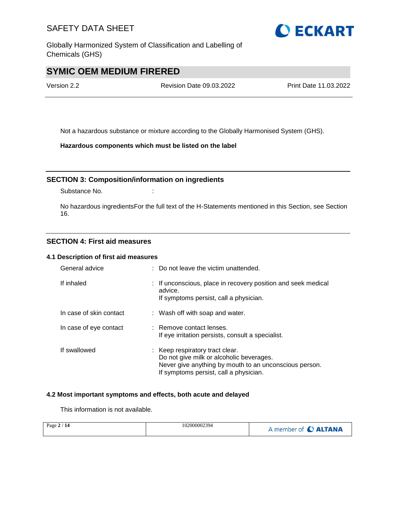Globally Harmonized System of Classification and Labelling of Chemicals (GHS)

## **SYMIC OEM MEDIUM FIRERED**

Version 2.2 Revision Date 09.03.2022 Print Date 11.03.2022

Not a hazardous substance or mixture according to the Globally Harmonised System (GHS).

**Hazardous components which must be listed on the label**

#### **SECTION 3: Composition/information on ingredients**

Substance No. **:** :

No hazardous ingredientsFor the full text of the H-Statements mentioned in this Section, see Section 16.

#### **SECTION 4: First aid measures**

#### **4.1 Description of first aid measures**

| General advice          | : Do not leave the victim unattended.                                                                                                                                           |
|-------------------------|---------------------------------------------------------------------------------------------------------------------------------------------------------------------------------|
| If inhaled              | : If unconscious, place in recovery position and seek medical<br>advice.<br>If symptoms persist, call a physician.                                                              |
| In case of skin contact | : Wash off with soap and water.                                                                                                                                                 |
| In case of eye contact  | : Remove contact lenses.<br>If eye irritation persists, consult a specialist.                                                                                                   |
| If swallowed            | : Keep respiratory tract clear.<br>Do not give milk or alcoholic beverages.<br>Never give anything by mouth to an unconscious person.<br>If symptoms persist, call a physician. |

#### **4.2 Most important symptoms and effects, both acute and delayed**

This information is not available.

| Page $2/14$ | 102000002394 | A member of C ALTANA |
|-------------|--------------|----------------------|
|-------------|--------------|----------------------|

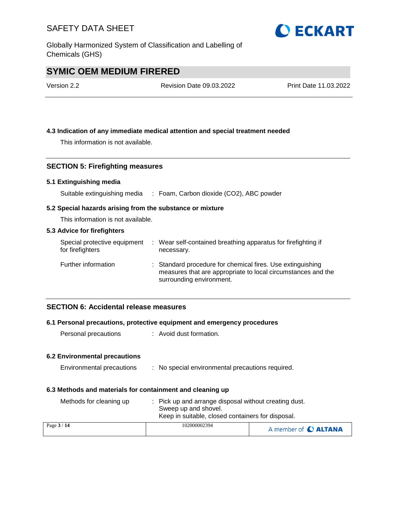Globally Harmonized System of Classification and Labelling of Chemicals (GHS)

## **SYMIC OEM MEDIUM FIRERED**

| Version 2.2 | <b>Revision Date 09.03.2022</b> | Print Date 11.03.2022 |
|-------------|---------------------------------|-----------------------|
|             |                                 |                       |

#### **4.3 Indication of any immediate medical attention and special treatment needed**

This information is not available.

#### **SECTION 5: Firefighting measures**

#### **5.1 Extinguishing media**

Suitable extinguishing media : Foam, Carbon dioxide (CO2), ABC powder

#### **5.2 Special hazards arising from the substance or mixture**

This information is not available.

#### **5.3 Advice for firefighters**

| Special protective equipment<br>for firefighters | : Wear self-contained breathing apparatus for firefighting if<br>necessary.                                                                            |
|--------------------------------------------------|--------------------------------------------------------------------------------------------------------------------------------------------------------|
| Further information                              | : Standard procedure for chemical fires. Use extinguishing<br>measures that are appropriate to local circumstances and the<br>surrounding environment. |

#### **SECTION 6: Accidental release measures**

#### **6.1 Personal precautions, protective equipment and emergency procedures**

Personal precautions : Avoid dust formation.

#### **6.2 Environmental precautions**

| Environmental precautions |  |  | No special environmental precautions required. |  |  |
|---------------------------|--|--|------------------------------------------------|--|--|
|---------------------------|--|--|------------------------------------------------|--|--|

#### **6.3 Methods and materials for containment and cleaning up**

| Methods for cleaning up | : Pick up and arrange disposal without creating dust.<br>Sweep up and shovel.<br>Keep in suitable, closed containers for disposal. |                      |
|-------------------------|------------------------------------------------------------------------------------------------------------------------------------|----------------------|
| Page $3/14$             | 102000002394                                                                                                                       | A member of C ALTANA |

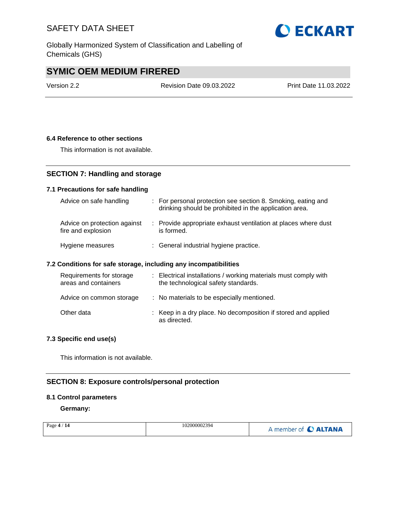Globally Harmonized System of Classification and Labelling of Chemicals (GHS)

## **SYMIC OEM MEDIUM FIRERED**

Version 2.2 Revision Date 09.03.2022 Print Date 11.03.2022

#### **6.4 Reference to other sections**

This information is not available.

### **SECTION 7: Handling and storage**

#### **7.1 Precautions for safe handling**

| Advice on safe handling                            | : For personal protection see section 8. Smoking, eating and<br>drinking should be prohibited in the application area. |
|----------------------------------------------------|------------------------------------------------------------------------------------------------------------------------|
| Advice on protection against<br>fire and explosion | : Provide appropriate exhaust ventilation at places where dust<br>is formed.                                           |
| Hygiene measures                                   | : General industrial hygiene practice.                                                                                 |

#### **7.2 Conditions for safe storage, including any incompatibilities**

| Requirements for storage<br>areas and containers | : Electrical installations / working materials must comply with<br>the technological safety standards. |
|--------------------------------------------------|--------------------------------------------------------------------------------------------------------|
| Advice on common storage                         | : No materials to be especially mentioned.                                                             |
| Other data                                       | : Keep in a dry place. No decomposition if stored and applied<br>as directed.                          |

#### **7.3 Specific end use(s)**

This information is not available.

### **SECTION 8: Exposure controls/personal protection**

#### **8.1 Control parameters**

**Germany:**

| 102000002394<br>Page $4/14$ | A member of C ALTANA |
|-----------------------------|----------------------|
|-----------------------------|----------------------|

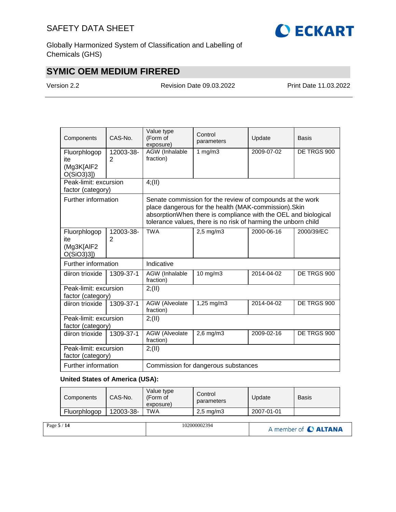

Globally Harmonized System of Classification and Labelling of Chemicals (GHS)

## **SYMIC OEM MEDIUM FIRERED**

Version 2.2 Revision Date 09.03.2022 Print Date 11.03.2022

| Components                                        | CAS-No.                     | Value type<br>(Form of<br>exposure)                                                                                                                                                                                                                    | Control<br>parameters | Update      | <b>Basis</b> |  |
|---------------------------------------------------|-----------------------------|--------------------------------------------------------------------------------------------------------------------------------------------------------------------------------------------------------------------------------------------------------|-----------------------|-------------|--------------|--|
| Fluorphlogop<br>ite<br>(Mg3K[AIF2<br>$O(SiO3)3$ ] | 12003-38-<br>2              | AGW (Inhalable<br>fraction)                                                                                                                                                                                                                            | 1 $mg/m3$             | 2009-07-02  | DE TRGS 900  |  |
| Peak-limit: excursion<br>factor (category)        |                             | 4(11)                                                                                                                                                                                                                                                  |                       |             |              |  |
| Further information                               |                             | Senate commission for the review of compounds at the work<br>place dangerous for the health (MAK-commission). Skin<br>absorptionWhen there is compliance with the OEL and biological<br>tolerance values, there is no risk of harming the unborn child |                       |             |              |  |
| Fluorphlogop<br>ite<br>(Mg3K[AlF2<br>O(SiO3)3]    | 12003-38-<br>$\overline{2}$ | <b>TWA</b>                                                                                                                                                                                                                                             | $2,5$ mg/m $3$        | 2000-06-16  | 2000/39/EC   |  |
| Further information                               |                             | Indicative                                                                                                                                                                                                                                             |                       |             |              |  |
| diiron trioxide                                   | 1309-37-1                   | 2014-04-02<br>10 mg/m3<br>AGW (Inhalable<br>fraction)                                                                                                                                                                                                  |                       | DE TRGS 900 |              |  |
| Peak-limit: excursion<br>factor (category)        |                             | 2; (II)                                                                                                                                                                                                                                                |                       |             |              |  |
| diiron trioxide                                   | 1309-37-1                   | <b>AGW</b> (Alveolate<br>fraction)                                                                                                                                                                                                                     | 1,25 mg/m3            | 2014-04-02  | DE TRGS 900  |  |
| Peak-limit: excursion<br>factor (category)        |                             | 2; (II)                                                                                                                                                                                                                                                |                       |             |              |  |
| diiron trioxide                                   | 1309-37-1                   | AGW (Alveolate<br>fraction)                                                                                                                                                                                                                            | $2,6$ mg/m $3$        | 2009-02-16  | DE TRGS 900  |  |
| Peak-limit: excursion<br>factor (category)        |                             | 2; (II)                                                                                                                                                                                                                                                |                       |             |              |  |
| Further information                               |                             | Commission for dangerous substances                                                                                                                                                                                                                    |                       |             |              |  |

#### **United States of America (USA):**

| <b>Components</b> | CAS-No.   | Value type<br>(Form of<br>exposure) | Control<br>parameters | Update     | Basis |
|-------------------|-----------|-------------------------------------|-----------------------|------------|-------|
| Fluorphlogop      | 12003-38- | TWA                                 | $2.5 \text{ mg/m}$    | 2007-01-01 |       |

| Page $5/14$ | 102000002394 | A member of C ALTANA |
|-------------|--------------|----------------------|
|-------------|--------------|----------------------|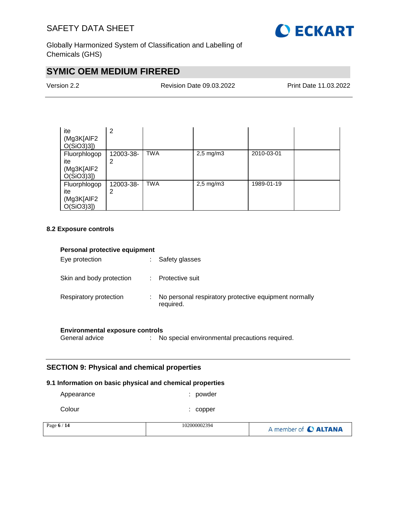

Globally Harmonized System of Classification and Labelling of Chemicals (GHS)

## **SYMIC OEM MEDIUM FIRERED**

| Version 2.2 |  |
|-------------|--|
|-------------|--|

Revision Date 09.03.2022 Print Date 11.03.2022

| ite<br>(Mg3K[AlF2<br>$O(SiO3)3$ ]                 | 2              |            |                |            |  |
|---------------------------------------------------|----------------|------------|----------------|------------|--|
| Fluorphlogop<br>ite<br>(Mg3K[AlF2<br>$O(SiO3)3$ ] | 12003-38-<br>2 | <b>TWA</b> | $2,5$ mg/m $3$ | 2010-03-01 |  |
| Fluorphlogop<br>ite<br>(Mg3K[AIF2<br>$O(SiO3)3$ ] | 12003-38-<br>2 | <b>TWA</b> | $2,5$ mg/m $3$ | 1989-01-19 |  |

#### **8.2 Exposure controls**

| Personal protective equipment |    |                                                                    |  |  |
|-------------------------------|----|--------------------------------------------------------------------|--|--|
| Eye protection                |    | Safety glasses                                                     |  |  |
| Skin and body protection      | ÷. | Protective suit                                                    |  |  |
| Respiratory protection        | ÷. | No personal respiratory protective equipment normally<br>required. |  |  |

# **Environmental exposure controls**<br>General advice : N

: No special environmental precautions required.

#### **SECTION 9: Physical and chemical properties**

#### **9.1 Information on basic physical and chemical properties**

| Appearance | : powder |
|------------|----------|
|            |          |

| Colour | $:$ copper |
|--------|------------|
|--------|------------|

| Page $6/14$ | 102000002394 | A member of C ALTANA |
|-------------|--------------|----------------------|
|             |              |                      |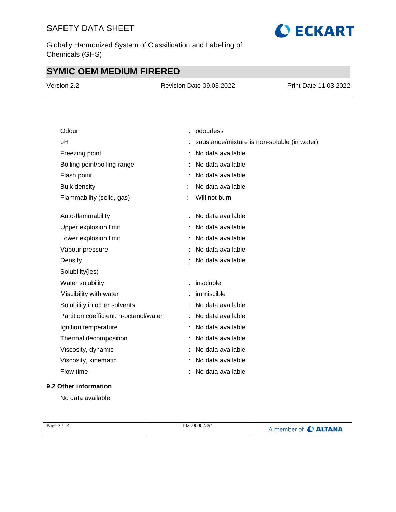Globally Harmonized System of Classification and Labelling of Chemicals (GHS)

# **SYMIC OEM MEDIUM FIRERED**

| Version 2.2 | <b>Revision Date 09.03.2022</b> | Print Date 11.03.2022 |
|-------------|---------------------------------|-----------------------|
|             |                                 |                       |

| Odour                                  | odourless                                   |
|----------------------------------------|---------------------------------------------|
| pH                                     | substance/mixture is non-soluble (in water) |
| Freezing point                         | No data available                           |
| Boiling point/boiling range            | No data available                           |
| Flash point                            | No data available                           |
| <b>Bulk density</b>                    | No data available                           |
| Flammability (solid, gas)              | Will not burn                               |
|                                        |                                             |
| Auto-flammability                      | No data available                           |
| Upper explosion limit                  | No data available                           |
| Lower explosion limit                  | No data available                           |
| Vapour pressure                        | No data available                           |
| Density                                | No data available                           |
| Solubility(ies)                        |                                             |
| Water solubility                       | insoluble                                   |
| Miscibility with water                 | immiscible                                  |
| Solubility in other solvents           | No data available                           |
| Partition coefficient: n-octanol/water | No data available                           |
| Ignition temperature                   | No data available                           |
| Thermal decomposition                  | No data available                           |
| Viscosity, dynamic                     | No data available                           |
| Viscosity, kinematic                   | No data available                           |
| Flow time                              | No data available                           |
|                                        |                                             |

#### **9.2 Other information**

No data available

| 102000002394<br>Page 7<br>$^{\prime}$ 14 | member of C ALTANA |
|------------------------------------------|--------------------|
|------------------------------------------|--------------------|

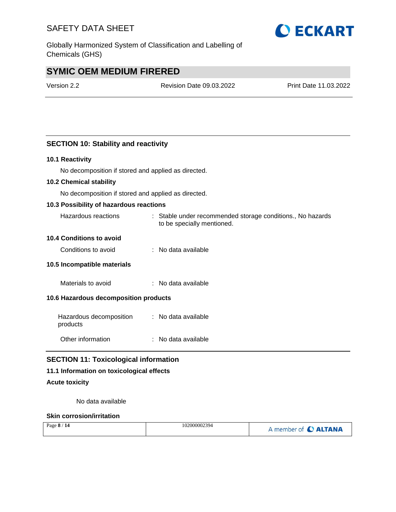Globally Harmonized System of Classification and Labelling of Chemicals (GHS)

## **SYMIC OEM MEDIUM FIRERED**

Version 2.2 Revision Date 09.03.2022 Print Date 11.03.2022

#### **SECTION 10: Stability and reactivity**

#### **10.1 Reactivity**

No decomposition if stored and applied as directed.

#### **10.2 Chemical stability**

No decomposition if stored and applied as directed.

#### **10.3 Possibility of hazardous reactions**

| Hazardous reactions | Stable under recommended storage conditions., No hazards |
|---------------------|----------------------------------------------------------|
|                     | to be specially mentioned.                               |

#### **10.4 Conditions to avoid**

| No data available<br>Conditions to avoid |
|------------------------------------------|
|                                          |

#### **10.5 Incompatible materials**

Materials to avoid : No data available

#### **10.6 Hazardous decomposition products**

| Hazardous decomposition<br>products | : No data available |
|-------------------------------------|---------------------|
| Other information                   | : No data available |

#### **SECTION 11: Toxicological information**

#### **11.1 Information on toxicological effects**

#### **Acute toxicity**

No data available

#### **Skin corrosion/irritation**

| Page 8 / 14 | 102000002394 | A member of C ALTANA |
|-------------|--------------|----------------------|
|             |              |                      |

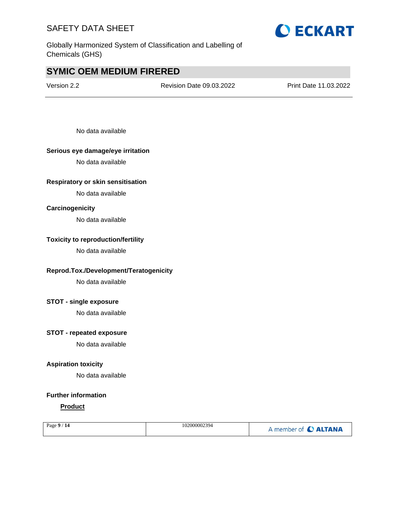

Globally Harmonized System of Classification and Labelling of Chemicals (GHS)

## **SYMIC OEM MEDIUM FIRERED**

Version 2.2 Revision Date 09.03.2022 Print Date 11.03.2022

No data available

#### **Serious eye damage/eye irritation**

No data available

#### **Respiratory or skin sensitisation**

No data available

#### **Carcinogenicity**

No data available

#### **Toxicity to reproduction/fertility**

No data available

#### **Reprod.Tox./Development/Teratogenicity**

No data available

#### **STOT - single exposure**

No data available

#### **STOT - repeated exposure**

No data available

#### **Aspiration toxicity**

No data available

#### **Further information**

#### **Product**

| Page $9/14$ | 102000002394 | A member of C ALTANA |
|-------------|--------------|----------------------|
|             |              |                      |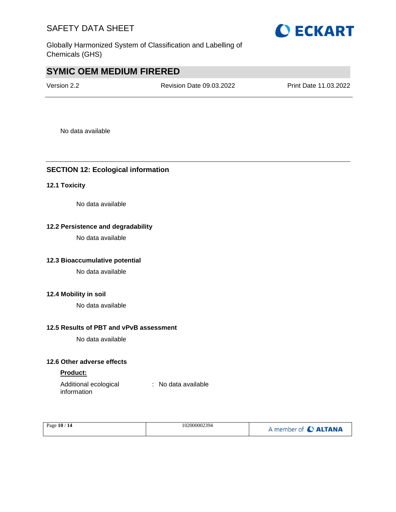

Globally Harmonized System of Classification and Labelling of Chemicals (GHS)

## **SYMIC OEM MEDIUM FIRERED**

Version 2.2 Revision Date 09.03.2022 Print Date 11.03.2022

No data available

#### **SECTION 12: Ecological information**

#### **12.1 Toxicity**

No data available

#### **12.2 Persistence and degradability**

No data available

#### **12.3 Bioaccumulative potential**

No data available

#### **12.4 Mobility in soil**

No data available

#### **12.5 Results of PBT and vPvB assessment**

No data available

#### **12.6 Other adverse effects**

#### **Product:**

Additional ecological information : No data available

| Page 10 / 14 | 102000002394 | A member of C ALTANA |
|--------------|--------------|----------------------|
|--------------|--------------|----------------------|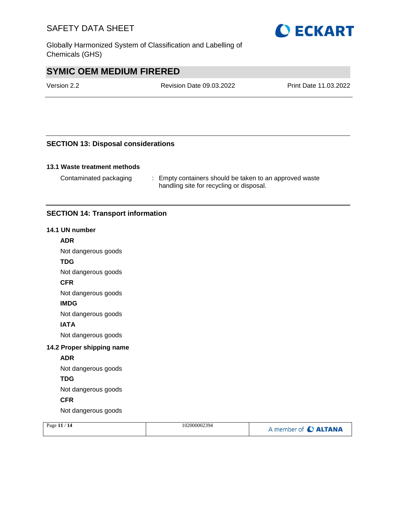Globally Harmonized System of Classification and Labelling of Chemicals (GHS)

## **SYMIC OEM MEDIUM FIRERED**

Version 2.2 Revision Date 09.03.2022 Print Date 11.03.2022

#### **SECTION 13: Disposal considerations**

#### **13.1 Waste treatment methods**

Contaminated packaging : Empty containers should be taken to an approved waste handling site for recycling or disposal.

#### **SECTION 14: Transport information**

#### **14.1 UN number**

#### **ADR**

Not dangerous goods

#### **TDG**

Not dangerous goods

#### **CFR**

Not dangerous goods

#### **IMDG**

Not dangerous goods

#### **IATA**

Not dangerous goods

#### **14.2 Proper shipping name**

#### **ADR**

Not dangerous goods

#### **TDG**

Not dangerous goods

#### **CFR**

Not dangerous goods

| Page $11/14$ | 102000002394 | A member of C ALTANA |
|--------------|--------------|----------------------|
|--------------|--------------|----------------------|

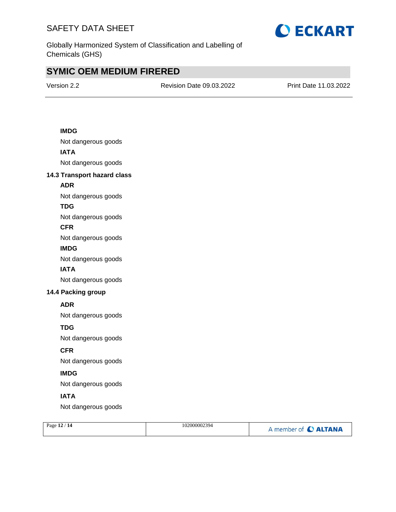

Globally Harmonized System of Classification and Labelling of Chemicals (GHS)

## **SYMIC OEM MEDIUM FIRERED**

Version 2.2 Revision Date 09.03.2022 Print Date 11.03.2022

#### **IMDG**

Not dangerous goods **IATA** Not dangerous goods

#### **14.3 Transport hazard class**

**ADR**

Not dangerous goods

#### **TDG**

Not dangerous goods

#### **CFR**

Not dangerous goods

#### **IMDG**

Not dangerous goods

#### **IATA**

Not dangerous goods

#### **14.4 Packing group**

#### **ADR**

Not dangerous goods

#### **TDG**

Not dangerous goods

#### **CFR**

Not dangerous goods

#### **IMDG**

Not dangerous goods

#### **IATA**

Not dangerous goods

| Page 12 / 14 | 102000002394 | A member of C ALTANA |
|--------------|--------------|----------------------|
|              |              |                      |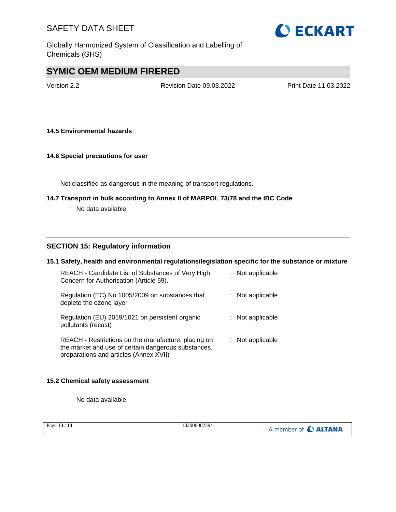

Globally Harmonized System of Classification and Labelling of Chemicals (GHS)

## **SYMIC OEM MEDIUM FIRERED**

Version 2.2 Revision Date 09.03.2022 Print Date 11.03.2022

#### **14.5 Environmental hazards**

#### **14.6 Special precautions for user**

Not classified as dangerous in the meaning of transport regulations.

# **14.7 Transport in bulk according to Annex II of MARPOL 73/78 and the IBC Code**

No data available

#### **SECTION 15: Regulatory information**

#### **15.1 Safety, health and environmental regulations/legislation specific for the substance or mixture**

| REACH - Candidate List of Substances of Very High<br>Concern for Authorisation (Article 59).                                                         | $:$ Not applicable |
|------------------------------------------------------------------------------------------------------------------------------------------------------|--------------------|
| Regulation (EC) No 1005/2009 on substances that<br>deplete the ozone layer                                                                           | : Not applicable   |
| Regulation (EU) 2019/1021 on persistent organic<br>pollutants (recast)                                                                               | : Not applicable   |
| REACH - Restrictions on the manufacture, placing on<br>the market and use of certain dangerous substances,<br>preparations and articles (Annex XVII) | : Not applicable   |

#### **15.2 Chemical safety assessment**

No data available

| Page $13/14$ | 102000002394 | A member of C ALTANA |
|--------------|--------------|----------------------|
|--------------|--------------|----------------------|